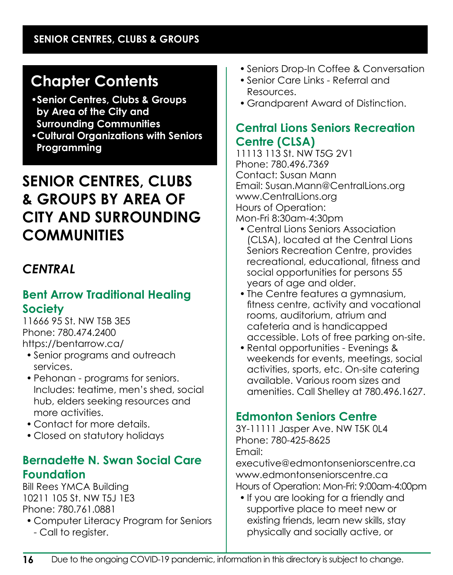# **Chapter Contents**

- **•Senior Centres, Clubs & Groups by Area of the City and Surrounding Communities**
- **•Cultural Organizations with Seniors Programming**

# **SENIOR CENTRES, CLUBS & GROUPS BY AREA OF CITY AND SURROUNDING COMMUNITIES**

## *CENTRAL*

## **Bent Arrow Traditional Healing Society**

11666 95 St. NW T5B 3E5 Phone: 780.474.2400 https://bentarrow.ca/

- Senior programs and outreach services.
- Pehonan programs for seniors. Includes: teatime, men's shed, social hub, elders seeking resources and more activities.
- Contact for more details.
- Closed on statutory holidays

### **Bernadette N. Swan Social Care Foundation**

Bill Rees YMCA Building 10211 105 St. NW T5J 1E3 Phone: 780.761.0881

• Computer Literacy Program for Seniors - Call to register.

- Seniors Drop-In Coffee & Conversation
- Senior Care Links Referral and Resources.
- Grandparent Award of Distinction.

## **Central Lions Seniors Recreation Centre (CLSA)**

11113 113 St. NW T5G 2V1 Phone: 780.496.7369 Contact: Susan Mann Email: Susan.Mann@CentralLions.org www.CentralLions.org Hours of Operation: Mon-Fri 8:30am-4:30pm

- Central Lions Seniors Association (CLSA), located at the Central Lions Seniors Recreation Centre, provides recreational, educational, fitness and social opportunities for persons 55 years of age and older.
- The Centre features a gymnasium, fitness centre, activity and vocational rooms, auditorium, atrium and cafeteria and is handicapped accessible. Lots of free parking on-site.
- Rental opportunities Evenings & weekends for events, meetings, social activities, sports, etc. On-site catering available. Various room sizes and amenities. Call Shelley at 780.496.1627.

## **Edmonton Seniors Centre**

3Y-11111 Jasper Ave. NW T5K 0L4 Phone: 780-425-8625 Email:

executive@edmontonseniorscentre.ca www.edmontonseniorscentre.ca Hours of Operation: Mon-Fri: 9:00am-4:00pm

• If you are looking for a friendly and supportive place to meet new or existing friends, learn new skills, stay physically and socially active, or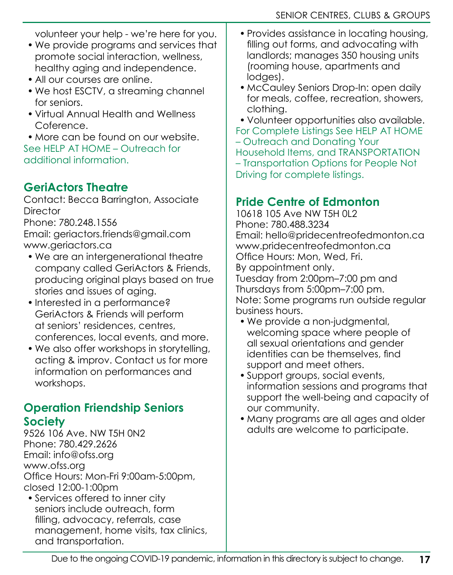volunteer your help - we're here for you.

- We provide programs and services that promote social interaction, wellness, healthy aging and independence.
- All our courses are online.
- We host ESCTV, a streaming channel for seniors.
- Virtual Annual Health and Wellness Coference.

• More can be found on our website. See HELP AT HOME – Outreach for additional information.

## **GeriActors Theatre**

Contact: Becca Barrington, Associate **Director** 

Phone: 780.248.1556

Email: geriactors.friends@gmail.com www.geriactors.ca

- We are an intergenerational theatre company called GeriActors & Friends, producing original plays based on true stories and issues of aging.
- Interested in a performance? GeriActors & Friends will perform at seniors' residences, centres, conferences, local events, and more.
- We also offer workshops in storytelling, acting & improv. Contact us for more information on performances and workshops.

## **Operation Friendship Seniors Society**

9526 106 Ave. NW T5H 0N2 Phone: 780.429.2626 Email: info@ofss.org www.ofss.org Office Hours: Mon-Fri 9:00am-5:00pm, closed 12:00-1:00pm

• Services offered to inner city seniors include outreach, form filling, advocacy, referrals, case management, home visits, tax clinics, and transportation.

- Provides assistance in locating housing, filling out forms, and advocating with landlords; manages 350 housing units (rooming house, apartments and lodges).
- McCauley Seniors Drop-In: open daily for meals, coffee, recreation, showers, clothing.
- Volunteer opportunities also available.

For Complete Listings See HELP AT HOME – Outreach and Donating Your

- Household Items, and TRANSPORTATION
- Transportation Options for People Not

Driving for complete listings.

## **Pride Centre of Edmonton**

10618 105 Ave NW T5H 0L2 Phone: 780.488.3234 Email: hello@pridecentreofedmonton.ca www.pridecentreofedmonton.ca Office Hours: Mon, Wed, Fri. By appointment only. Tuesday from 2:00pm–7:00 pm and Thursdays from 5:00pm–7:00 pm. Note: Some programs run outside regular business hours.

- We provide a non-judgmental, welcoming space where people of all sexual orientations and gender identities can be themselves, find support and meet others.
- Support groups, social events, information sessions and programs that support the well-being and capacity of our community.
- Many programs are all ages and older adults are welcome to participate.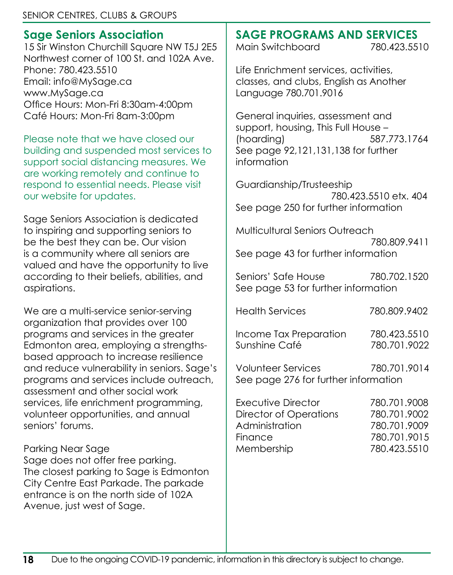## **Sage Seniors Association**

15 Sir Winston Churchill Square NW T5J 2E5 Northwest corner of 100 St. and 102A Ave. Phone: 780.423.5510 Email: info@MySage.ca www.MySage.ca Office Hours: Mon-Fri 8:30am-4:00pm Café Hours: Mon-Fri 8am-3:00pm

Please note that we have closed our building and suspended most services to support social distancing measures. We are working remotely and continue to respond to essential needs. Please visit our website for updates.

Sage Seniors Association is dedicated to inspiring and supporting seniors to be the best they can be. Our vision is a community where all seniors are valued and have the opportunity to live according to their beliefs, abilities, and aspirations.

We are a multi-service senior-serving organization that provides over 100 programs and services in the greater Edmonton area, employing a strengthsbased approach to increase resilience and reduce vulnerability in seniors. Sage's programs and services include outreach, assessment and other social work services, life enrichment programming, volunteer opportunities, and annual seniors' forums.

#### Parking Near Sage

Sage does not offer free parking. The closest parking to Sage is Edmonton City Centre East Parkade. The parkade entrance is on the north side of 102A Avenue, just west of Sage.

## **SAGE PROGRAMS AND SERVICES**

Main Switchboard 780.423.5510

Life Enrichment services, activities, classes, and clubs, English as Another Language 780.701.9016

General inquiries, assessment and support, housing, This Full House – (hoarding) 587.773.1764 See page 92,121,131,138 for further information

Guardianship/Trusteeship 780.423.5510 etx. 404 See page 250 for further information

Multicultural Seniors Outreach 780.809.9411 See page 43 for further information

Seniors' Safe House 780.702.1520 See page 53 for further information

Health Services 780.809.9402

Income Tax Preparation 780.423.5510 Sunshine Café 780.701.9022

Volunteer Services 780.701.9014 See page 276 for further information

| Executive Director     | 780.701.9008 |
|------------------------|--------------|
| Director of Operations | 780.701.9002 |
| Administration         | 780.701.9009 |
| Finance                | 780.701.9015 |
| Membership             | 780.423.5510 |
|                        |              |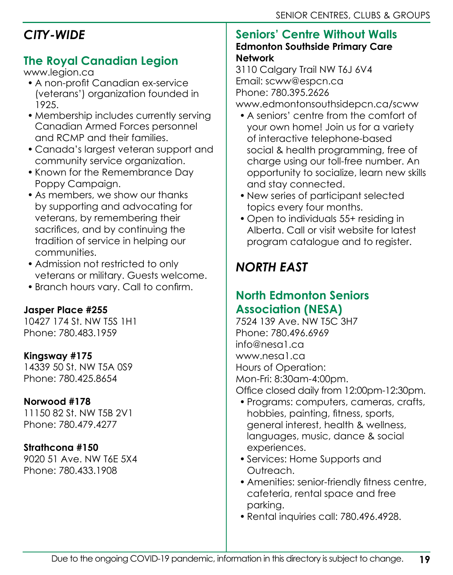## *CITY-WIDE*

## **The Royal Canadian Legion**

www.legion.ca

- A non-profit Canadian ex-service (veterans') organization founded in 1925.
- Membership includes currently serving Canadian Armed Forces personnel and RCMP and their families.
- Canada's largest veteran support and community service organization.
- Known for the Remembrance Day Poppy Campaign.
- As members, we show our thanks by supporting and advocating for veterans, by remembering their sacrifices, and by continuing the tradition of service in helping our communities.
- Admission not restricted to only veterans or military. Guests welcome.
- Branch hours vary. Call to confirm.

### **Jasper Place #255**

10427 174 St. NW T5S 1H1 Phone: 780.483.1959

#### **Kingsway #175**

14339 50 St. NW T5A 0S9 Phone: 780.425.8654

#### **Norwood #178**

11150 82 St. NW T5B 2V1 Phone: 780.479.4277

#### **Strathcona #150**

9020 51 Ave. NW T6E 5X4 Phone: 780.433.1908

#### **Seniors' Centre Without Walls Edmonton Southside Primary Care Network**

3110 Calgary Trail NW T6J 6V4 Email: scww@espcn.ca Phone: 780.395.2626 www.edmontonsouthsidepcn.ca/scww

- A seniors' centre from the comfort of your own home! Join us for a variety of interactive telephone-based social & health programming, free of charge using our toll-free number. An opportunity to socialize, learn new skills and stay connected.
- New series of participant selected topics every four months.
- Open to individuals 55+ residing in Alberta. Call or visit website for latest program catalogue and to register.

# *NORTH EAST*

## **North Edmonton Seniors Association (NESA)**

7524 139 Ave. NW T5C 3H7 Phone: 780.496.6969 info@nesa1.ca www.nesa1.ca Hours of Operation: Mon-Fri: 8:30am-4:00pm. Office closed daily from 12:00pm-12:30pm.

- Programs: computers, cameras, crafts, hobbies, painting, fitness, sports, general interest, health & wellness, languages, music, dance & social experiences.
- Services: Home Supports and Outreach.
- Amenities: senior-friendly fitness centre, cafeteria, rental space and free parking.
- Rental inquiries call: 780.496.4928.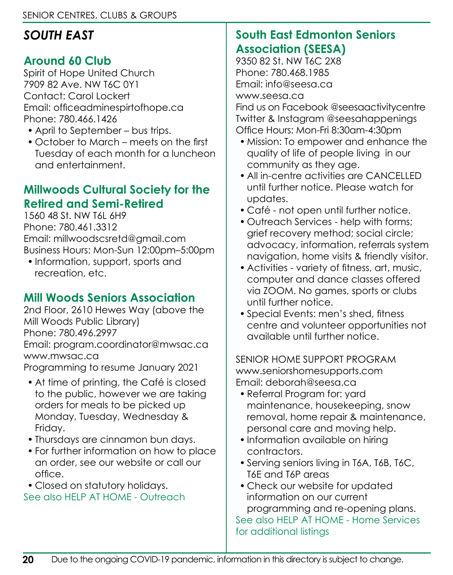## *SOUTH EAST*

## **Around 60 Club**

Spirit of Hope United Church 7909 82 Ave. NW T6C 0Y1 Contact: Carol Lockert Email: officeadminespirtofhope.ca Phone: 780.466.1426

- April to September bus trips.
- October to March meets on the first Tuesday of each month for a luncheon and entertainment.

## **Millwoods Cultural Society for the Retired and Semi-Retired**

1560 48 St. NW T6L 6H9 Phone: 780.461.3312 Email: millwoodscsretd@gmail.com Business Hours: Mon-Sun 12:00pm–5:00pm

• Information, support, sports and recreation, etc.

## **Mill Woods Seniors Association**

2nd Floor, 2610 Hewes Way (above the Mill Woods Public Library) Phone: 780.496.2997 Email: program.coordinator@mwsac.ca www.mwsac.ca

Programming to resume January 2021

- At time of printing, the Café is closed to the public, however we are taking orders for meals to be picked up Monday, Tuesday, Wednesday & Friday.
- Thursdays are cinnamon bun days.
- For further information on how to place an order, see our website or call our office.
- Closed on statutory holidays.

See also HELP AT HOME - Outreach

## **South East Edmonton Seniors Association (SEESA)**

9350 82 St. NW T6C 2X8 Phone: 780.468.1985 Email: info@seesa.ca

www.seesa.ca

Find us on Facebook @seesaactivitycentre Twitter & Instagram @seesahappenings Office Hours: Mon-Fri 8:30am-4:30pm

- Mission: To empower and enhance the quality of life of people living in our community as they age.
- All in-centre activities are CANCELLED until further notice. Please watch for updates.
- Café not open until further notice.
- Outreach Services help with forms; grief recovery method; social circle; advocacy, information, referrals system navigation, home visits & friendly visitor.
- Activities variety of fitness, art, music, computer and dance classes offered via ZOOM. No games, sports or clubs until further notice.
- Special Events: men's shed, fitness centre and volunteer opportunities not available until further notice.

SENIOR HOME SUPPORT PROGRAM www.seniorshomesupports.com Email: deborah@seesa.ca

- Referral Program for: yard maintenance, housekeeping, snow removal, home repair & maintenance, personal care and moving help.
- Information available on hiring contractors.
- Serving seniors living in T6A, T6B, T6C, T6E and T6P areas
- Check our website for updated information on our current programming and re-opening plans. See also HELP AT HOME - Home Services for additional listings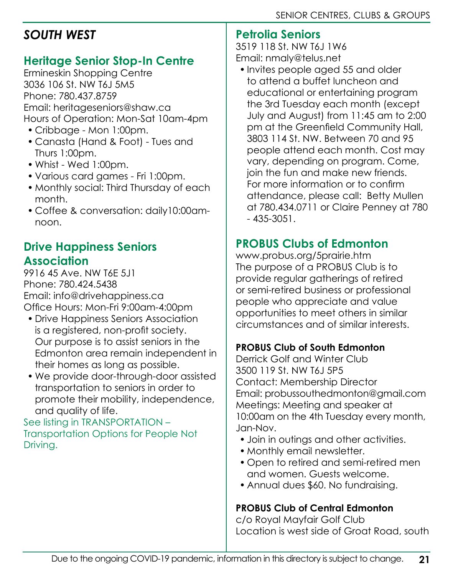## *SOUTH WEST*

### **Heritage Senior Stop-In Centre**

Ermineskin Shopping Centre 3036 106 St. NW T6J 5M5 Phone: 780.437.8759 Email: heritageseniors@shaw.ca Hours of Operation: Mon-Sat 10am-4pm

- Cribbage Mon 1:00pm.
- Canasta (Hand & Foot) Tues and Thurs 1:00pm.
- Whist Wed 1:00pm.
- Various card games Fri 1:00pm.
- Monthly social: Third Thursday of each month.
- Coffee & conversation: daily10:00amnoon.

## **Drive Happiness Seniors Association**

9916 45 Ave. NW T6E 5J1 Phone: 780.424.5438 Email: info@drivehappiness.ca Office Hours: Mon-Fri 9:00am-4:00pm

- Drive Happiness Seniors Association is a registered, non-profit society. Our purpose is to assist seniors in the Edmonton area remain independent in their homes as long as possible.
- We provide door-through-door assisted transportation to seniors in order to promote their mobility, independence, and quality of life.

See listing in TRANSPORTATION – Transportation Options for People Not Driving.

### **Petrolia Seniors**

3519 118 St. NW T6J 1W6 Email: nmaly@telus.net

• Invites people aged 55 and older to attend a buffet luncheon and educational or entertaining program the 3rd Tuesday each month (except July and August) from 11:45 am to 2:00 pm at the Greenfield Community Hall, 3803 114 St. NW. Between 70 and 95 people attend each month. Cost may vary, depending on program. Come, join the fun and make new friends. For more information or to confirm attendance, please call: Betty Mullen at 780.434.0711 or Claire Penney at 780 - 435-3051.

## **PROBUS Clubs of Edmonton**

www.probus.org/5prairie.htm The purpose of a PROBUS Club is to provide regular gatherings of retired or semi-retired business or professional people who appreciate and value opportunities to meet others in similar circumstances and of similar interests.

#### **PROBUS Club of South Edmonton**

Derrick Golf and Winter Club 3500 119 St. NW T6J 5P5 Contact: Membership Director Email: probussouthedmonton@gmail.com Meetings: Meeting and speaker at 10:00am on the 4th Tuesday every month, Jan-Nov.

- Join in outings and other activities.
- Monthly email newsletter.
- Open to retired and semi-retired men and women. Guests welcome.
- Annual dues \$60. No fundraising.

### **PROBUS Club of Central Edmonton**

c/o Royal Mayfair Golf Club Location is west side of Groat Road, south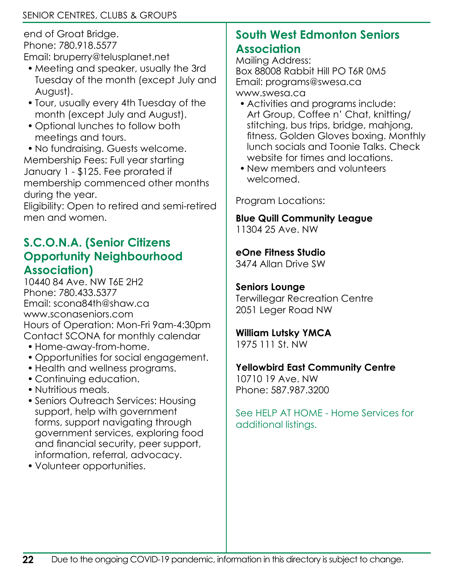end of Groat Bridge. Phone: 780.918.5577 Email: bruperry@telusplanet.net

- Meeting and speaker, usually the 3rd Tuesday of the month (except July and August).
- Tour, usually every 4th Tuesday of the month (except July and August).
- Optional lunches to follow both meetings and tours.

• No fundraising. Guests welcome. Membership Fees: Full year starting January 1 - \$125. Fee prorated if membership commenced other months during the year.

Eligibility: Open to retired and semi-retired men and women.

### **S.C.O.N.A. (Senior Citizens Opportunity Neighbourhood Association)**

10440 84 Ave. NW T6E 2H2 Phone: 780.433.5377 Email: scona84th@shaw.ca www.sconaseniors.com Hours of Operation: Mon-Fri 9am-4:30pm Contact SCONA for monthly calendar

- Home-away-from-home.
- Opportunities for social engagement.
- Health and wellness programs.
- Continuing education.
- Nutritious meals.
- Seniors Outreach Services: Housing support, help with government forms, support navigating through government services, exploring food and financial security, peer support, information, referral, advocacy.
- Volunteer opportunities.

## **South West Edmonton Seniors Association**

Mailing Address: Box 88008 Rabbit Hill PO T6R 0M5 Email: programs@swesa.ca www.swesa.ca

- Activities and programs include: Art Group, Coffee n' Chat, knitting/ stitching, bus trips, bridge, mahjong, fitness, Golden Gloves boxing. Monthly lunch socials and Toonie Talks. Check website for times and locations.
- New members and volunteers welcomed.

Program Locations:

#### **Blue Quill Community League**

11304 25 Ave. NW

#### **eOne Fitness Studio**

3474 Allan Drive SW

#### **Seniors Lounge**

Terwillegar Recreation Centre 2051 Leger Road NW

#### **William Lutsky YMCA**

1975 111 St. NW

#### **Yellowbird East Community Centre**

10710 19 Ave. NW Phone: 587.987.3200

See HFLP AT HOME - Home Services for additional listings.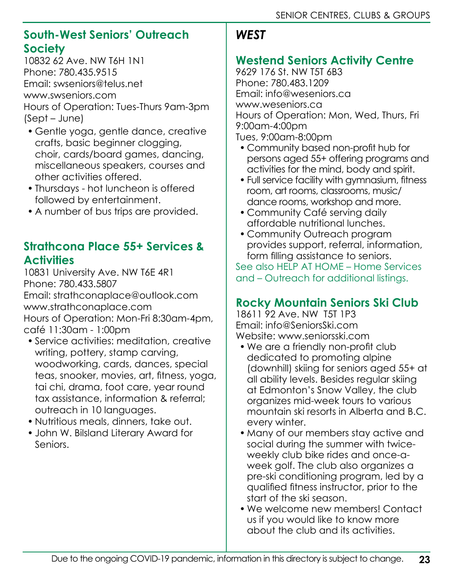## **South-West Seniors' Outreach Society**

10832 62 Ave. NW T6H 1N1 Phone: 780.435.9515 Email: swseniors@telus.net www.swseniors.com Hours of Operation: Tues-Thurs 9am-3pm (Sept – June)

- Gentle yoga, gentle dance, creative crafts, basic beginner clogging, choir, cards/board games, dancing, miscellaneous speakers, courses and other activities offered.
- Thursdays hot luncheon is offered followed by entertainment.
- A number of bus trips are provided.

## **Strathcona Place 55+ Services & Activities**

10831 University Ave. NW T6E 4R1 Phone: 780.433.5807 Email: strathconaplace@outlook.com www.strathconaplace.com Hours of Operation: Mon-Fri 8:30am-4pm, café 11:30am - 1:00pm

- Service activities: meditation, creative writing, pottery, stamp carving, woodworking, cards, dances, special teas, snooker, movies, art, fitness, yoga, tai chi, drama, foot care, year round tax assistance, information & referral; outreach in 10 languages.
- Nutritious meals, dinners, take out.
- John W. Bilsland Literary Award for Seniors.

## *WEST*

## **Westend Seniors Activity Centre**

9629 176 St. NW T5T 6B3 Phone: 780.483.1209 Email: info@weseniors.ca www.weseniors.ca Hours of Operation: Mon, Wed, Thurs, Fri 9:00am-4:00pm Tues, 9:00am-8:00pm

- Community based non-profit hub for persons aged 55+ offering programs and activities for the mind, body and spirit.
- Full service facility with gymnasium, fitness room, art rooms, classrooms, music/ dance rooms, workshop and more.
- Community Café serving daily affordable nutritional lunches.
- Community Outreach program provides support, referral, information, form filling assistance to seniors.

See also HELP AT HOME – Home Services and – Outreach for additional listings.

## **Rocky Mountain Seniors Ski Club**

18611 92 Ave. NW T5T 1P3 Email: info@SeniorsSki.com Website: www.seniorsski.com

- We are a friendly non-profit club dedicated to promoting alpine (downhill) skiing for seniors aged 55+ at all ability levels. Besides regular skiing at Edmonton's Snow Valley, the club organizes mid-week tours to various mountain ski resorts in Alberta and B.C. every winter.
- Many of our members stay active and social during the summer with twiceweekly club bike rides and once-aweek golf. The club also organizes a pre-ski conditioning program, led by a qualified fitness instructor, prior to the start of the ski season.
- We welcome new members! Contact us if you would like to know more about the club and its activities.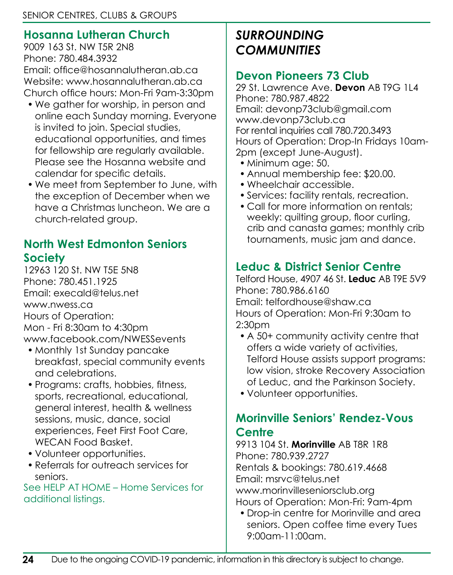## **Hosanna Lutheran Church**

9009 163 St. NW T5R 2N8 Phone: 780.484.3932 Email: office@hosannalutheran.ab.ca Website: www.hosannalutheran.ab.ca Church office hours: Mon-Fri 9am-3:30pm

- We gather for worship, in person and online each Sunday morning. Everyone is invited to join. Special studies, educational opportunities, and times for fellowship are regularly available. Please see the Hosanna website and calendar for specific details.
- We meet from September to June, with the exception of December when we have a Christmas luncheon. We are a church-related group.

## **North West Edmonton Seniors Society**

12963 120 St. NW T5E 5N8 Phone: 780.451.1925 Email: execald@telus.net www.nwess.ca Hours of Operation: Mon - Fri 8:30am to 4:30pm www.facebook.com/NWESSevents

- Monthly 1st Sunday pancake breakfast, special community events and celebrations.
- Programs: crafts, hobbies, fitness, sports, recreational, educational, general interest, health & wellness sessions, music, dance, social experiences, Feet First Foot Care, WECAN Food Basket.
- Volunteer opportunities.
- Referrals for outreach services for seniors.

See HELP AT HOME – Home Services for additional listings.

## *SURROUNDING COMMUNITIES*

## **Devon Pioneers 73 Club**

29 St. Lawrence Ave. **Devon** AB T9G 1L4 Phone: 780.987.4822 Email: devonp73club@gmail.com www.devonp73club.ca For rental inquiries call 780.720.3493 Hours of Operation: Drop-In Fridays 10am-2pm (except June-August).

- Minimum age: 50.
- Annual membership fee: \$20.00.
- Wheelchair accessible.
- Services: facility rentals, recreation.
- Call for more information on rentals; weekly: quilting group, floor curling, crib and canasta games; monthly crib tournaments, music jam and dance.

## **Leduc & District Senior Centre**

Telford House, 4907 46 St. **Leduc** AB T9E 5V9 Phone: 780.986.6160 Email: telfordhouse@shaw.ca Hours of Operation: Mon-Fri 9:30am to 2:30pm

- A 50+ community activity centre that offers a wide variety of activities, Telford House assists support programs: low vision, stroke Recovery Association of Leduc, and the Parkinson Society.
- Volunteer opportunities.

## **Morinville Seniors' Rendez-Vous Centre**

9913 104 St. **Morinville** AB T8R 1R8 Phone: 780.939.2727 Rentals & bookings: 780.619.4668 Email: msrvc@telus.net www.morinvilleseniorsclub.org Hours of Operation: Mon-Fri: 9am-4pm

• Drop-in centre for Morinville and area seniors. Open coffee time every Tues 9:00am-11:00am.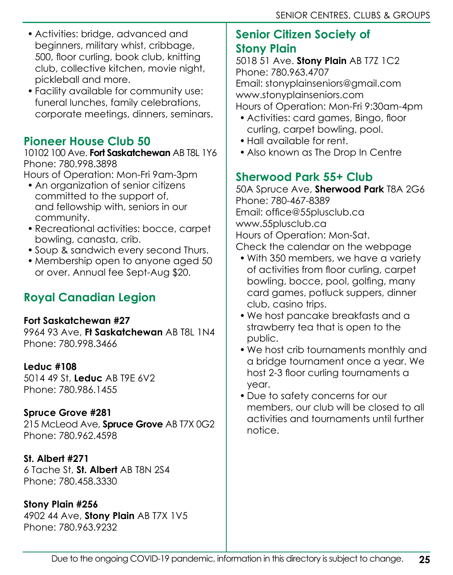- Activities: bridge, advanced and beginners, military whist, cribbage, 500, floor curling, book club, knitting club, collective kitchen, movie night, pickleball and more.
- Facility available for community use: funeral lunches, family celebrations, corporate meetings, dinners, seminars.

### **Pioneer House Club 50**

10102 100 Ave. **Fort Saskatchewan** AB T8L 1Y6 Phone: 780.998.3898

Hours of Operation: Mon-Fri 9am-3pm

- An organization of senior citizens committed to the support of, and fellowship with, seniors in our community.
- Recreational activities: bocce, carpet bowling, canasta, crib.
- Soup & sandwich every second Thurs.
- Membership open to anyone aged 50 or over. Annual fee Sept-Aug \$20.

## **Royal Canadian Legion**

#### **Fort Saskatchewan #27**

9964 93 Ave, **Ft Saskatchewan** AB T8L 1N4 Phone: 780.998.3466

#### **Leduc #108**

5014 49 St, **Leduc** AB T9E 6V2 Phone: 780.986.1455

#### **Spruce Grove #281**

215 McLeod Ave, **Spruce Grove** AB T7X 0G2 Phone: 780.962.4598

#### **St. Albert #271**

6 Tache St, **St. Albert** AB T8N 2S4 Phone: 780.458.3330

#### **Stony Plain #256**

4902 44 Ave, **Stony Plain** AB T7X 1V5 Phone: 780.963.9232

### **Senior Citizen Society of Stony Plain**

5018 51 Ave. **Stony Plain** AB T7Z 1C2 Phone: 780.963.4707 Email: stonyplainseniors@gmail.com www.stonyplainseniors.com Hours of Operation: Mon-Fri 9:30am-4pm

- Activities: card games, Bingo, floor curling, carpet bowling, pool.
- Hall available for rent.
- Also known as The Drop In Centre

## **Sherwood Park 55+ Club**

50A Spruce Ave, **Sherwood Park** T8A 2G6 Phone: 780-467-8389 Email: office@55plusclub.ca www.55plusclub.ca Hours of Operation: Mon-Sat. Check the calendar on the webpage

- With 350 members, we have a variety of activities from floor curling, carpet bowling, bocce, pool, golfing, many card games, potluck suppers, dinner club, casino trips.
- We host pancake breakfasts and a strawberry tea that is open to the public.
- We host crib tournaments monthly and a bridge tournament once a year. We host 2-3 floor curling tournaments a year.
- Due to safety concerns for our members, our club will be closed to all activities and tournaments until further notice.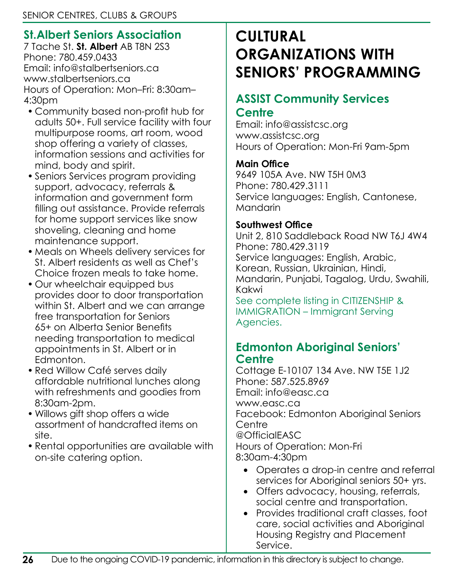## **St.Albert Seniors Association**

7 Tache St. **St. Albert** AB T8N 2S3 Phone: 780.459.0433 Email: info@stalbertseniors.ca www.stalbertseniors.ca Hours of Operation: Mon–Fri: 8:30am– 4:30pm

- Community based non-profit hub for adults 50+. Full service facility with four multipurpose rooms, art room, wood shop offering a variety of classes, information sessions and activities for mind, body and spirit.
- Seniors Services program providing support, advocacy, referrals & information and government form filling out assistance. Provide referrals for home support services like snow shoveling, cleaning and home maintenance support.
- Meals on Wheels delivery services for St. Albert residents as well as Chef's Choice frozen meals to take home.
- Our wheelchair equipped bus provides door to door transportation within St. Albert and we can arrange free transportation for Seniors 65+ on Alberta Senior Benefits needing transportation to medical appointments in St. Albert or in Edmonton.
- Red Willow Café serves daily affordable nutritional lunches along with refreshments and goodies from 8:30am-2pm.
- Willows gift shop offers a wide assortment of handcrafted items on site.
- Rental opportunities are available with on-site catering option.

# **CULTURAL ORGANIZATIONS WITH SENIORS' PROGRAMMING**

## **ASSIST Community Services**

### **Centre**

Email: info@assistcsc.org www.assistcsc.org Hours of Operation: Mon-Fri 9am-5pm

#### **Main Office**

9649 105A Ave. NW T5H 0M3 Phone: 780.429.3111 Service languages: English, Cantonese, Mandarin

#### **Southwest Office**

Unit 2, 810 Saddleback Road NW T6J 4W4 Phone: 780.429.3119 Service languages: English, Arabic, Korean, Russian, Ukrainian, Hindi, Mandarin, Punjabi, Tagalog, Urdu, Swahili, Kakwi

See complete listing in CITIZENSHIP & IMMIGRATION – Immigrant Serving Agencies.

### **Edmonton Aboriginal Seniors' Centre**

Cottage E-10107 134 Ave. NW T5E 1J2 Phone: 587.525.8969 Email: info@easc.ca www.easc.ca Facebook: Edmonton Aboriginal Seniors Centre @OfficialEASC Hours of Operation: Mon-Fri 8:30am-4:30pm

- Operates a drop-in centre and referral services for Aboriginal seniors 50+ yrs.
- Offers advocacy, housing, referrals, social centre and transportation.
- Provides traditional craft classes, foot care, social activities and Aboriginal Housing Registry and Placement Service.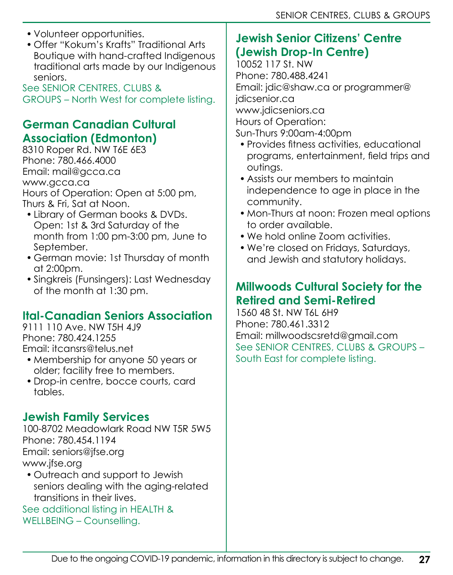- Volunteer opportunities.
- Offer "Kokum's Krafts" Traditional Arts Boutique with hand-crafted Indigenous traditional arts made by our Indigenous seniors.

See SENIOR CENTRES, CLUBS & GROUPS – North West for complete listing.

### **German Canadian Cultural Association (Edmonton)**

8310 Roper Rd. NW T6E 6E3 Phone: 780.466.4000 Email: mail@gcca.ca www.gcca.ca Hours of Operation: Open at 5:00 pm, Thurs & Fri, Sat at Noon.

- Library of German books & DVDs. Open: 1st & 3rd Saturday of the month from 1:00 pm-3:00 pm, June to September.
- German movie: 1st Thursday of month at 2:00pm.
- Singkreis (Funsingers): Last Wednesday of the month at 1:30 pm.

## **Ital-Canadian Seniors Association**

9111 110 Ave. NW T5H 4J9 Phone: 780.424.1255 Email: itcansrs@telus.net

- Membership for anyone 50 years or older; facility free to members.
- Drop-in centre, bocce courts, card tables.

## **Jewish Family Services**

100-8702 Meadowlark Road NW T5R 5W5 Phone: 780.454.1194 Email: seniors@jfse.org www.jfse.org

• Outreach and support to Jewish seniors dealing with the aging-related transitions in their lives.

See additional listing in HEALTH & WELLBEING – Counselling.

## **Jewish Senior Citizens' Centre (Jewish Drop-In Centre)**

10052 117 St. NW Phone: 780.488.4241 Email: jdic@shaw.ca or programmer@ jdicsenior.ca www.jdicseniors.ca Hours of Operation: Sun-Thurs 9:00am-4:00pm

- Provides fitness activities, educational programs, entertainment, field trips and outings.
- Assists our members to maintain independence to age in place in the community.
- Mon-Thurs at noon: Frozen meal options to order available.
- We hold online Zoom activities.
- We're closed on Fridays, Saturdays, and Jewish and statutory holidays.

## **Millwoods Cultural Society for the Retired and Semi-Retired**

1560 48 St. NW T6L 6H9 Phone: 780.461.3312 Email: millwoodscsretd@gmail.com See SENIOR CENTRES, CLUBS & GROUPS – South East for complete listing.